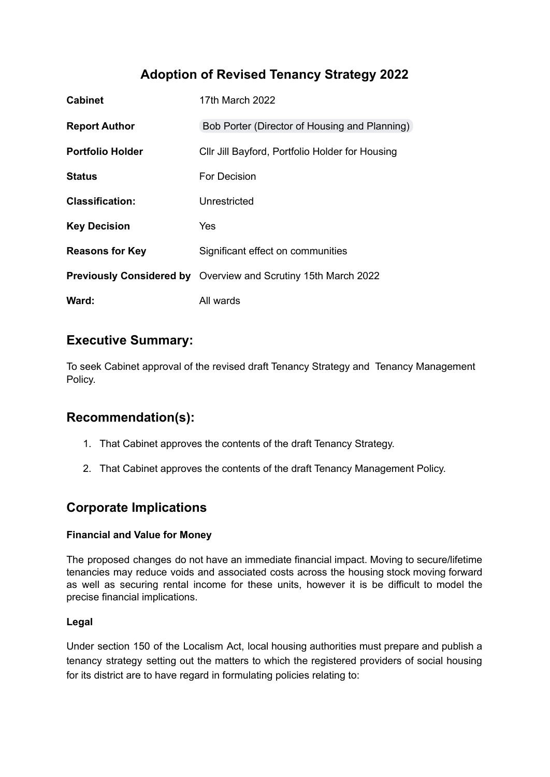# **Adoption of Revised Tenancy Strategy 2022**

| <b>Cabinet</b>          | 17th March 2022                                                       |
|-------------------------|-----------------------------------------------------------------------|
| <b>Report Author</b>    | Bob Porter (Director of Housing and Planning)                         |
| <b>Portfolio Holder</b> | Cllr Jill Bayford, Portfolio Holder for Housing                       |
| <b>Status</b>           | For Decision                                                          |
| <b>Classification:</b>  | Unrestricted                                                          |
| <b>Key Decision</b>     | Yes                                                                   |
| <b>Reasons for Key</b>  | Significant effect on communities                                     |
|                         | <b>Previously Considered by</b> Overview and Scrutiny 15th March 2022 |
| Ward:                   | All wards                                                             |

## **Executive Summary:**

To seek Cabinet approval of the revised draft Tenancy Strategy and Tenancy Management Policy.

## **Recommendation(s):**

- 1. That Cabinet approves the contents of the draft Tenancy Strategy.
- 2. That Cabinet approves the contents of the draft Tenancy Management Policy.

## **Corporate Implications**

#### **Financial and Value for Money**

The proposed changes do not have an immediate financial impact. Moving to secure/lifetime tenancies may reduce voids and associated costs across the housing stock moving forward as well as securing rental income for these units, however it is be difficult to model the precise financial implications.

#### **Legal**

Under section 150 of the Localism Act, local housing authorities must prepare and publish a tenancy strategy setting out the matters to which the registered providers of social housing for its district are to have regard in formulating policies relating to: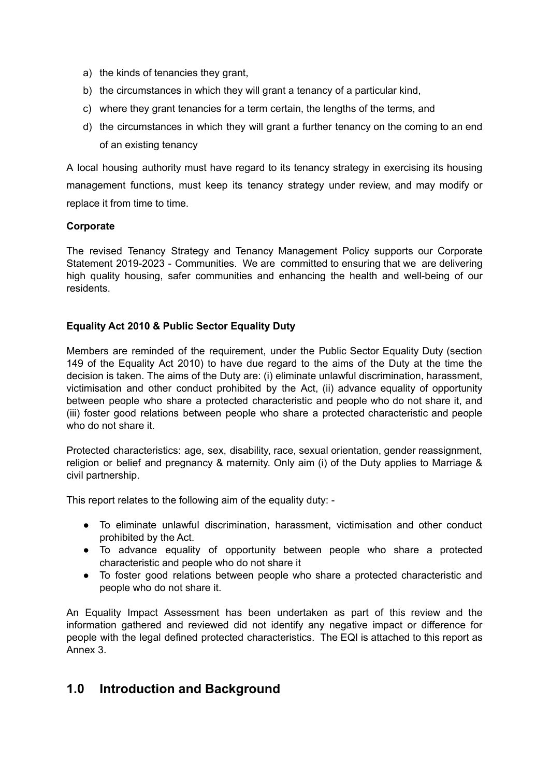- a) the kinds of tenancies they grant,
- b) the circumstances in which they will grant a tenancy of a particular kind,
- c) where they grant tenancies for a term certain, the lengths of the terms, and
- d) the circumstances in which they will grant a further tenancy on the coming to an end of an existing tenancy

A local housing authority must have regard to its tenancy strategy in exercising its housing management functions, must keep its tenancy strategy under review, and may modify or replace it from time to time.

#### **Corporate**

The revised Tenancy Strategy and Tenancy Management Policy supports our Corporate Statement 2019-2023 - Communities. We are committed to ensuring that we are delivering high quality housing, safer communities and enhancing the health and well-being of our residents.

#### **Equality Act 2010 & Public Sector Equality Duty**

Members are reminded of the requirement, under the Public Sector Equality Duty (section 149 of the Equality Act 2010) to have due regard to the aims of the Duty at the time the decision is taken. The aims of the Duty are: (i) eliminate unlawful discrimination, harassment, victimisation and other conduct prohibited by the Act, (ii) advance equality of opportunity between people who share a protected characteristic and people who do not share it, and (iii) foster good relations between people who share a protected characteristic and people who do not share it.

Protected characteristics: age, sex, disability, race, sexual orientation, gender reassignment, religion or belief and pregnancy & maternity. Only aim (i) of the Duty applies to Marriage & civil partnership.

This report relates to the following aim of the equality duty: -

- To eliminate unlawful discrimination, harassment, victimisation and other conduct prohibited by the Act.
- To advance equality of opportunity between people who share a protected characteristic and people who do not share it
- To foster good relations between people who share a protected characteristic and people who do not share it.

An Equality Impact Assessment has been undertaken as part of this review and the information gathered and reviewed did not identify any negative impact or difference for people with the legal defined protected characteristics. The EQI is attached to this report as Annex 3.

### **1.0 Introduction and Background**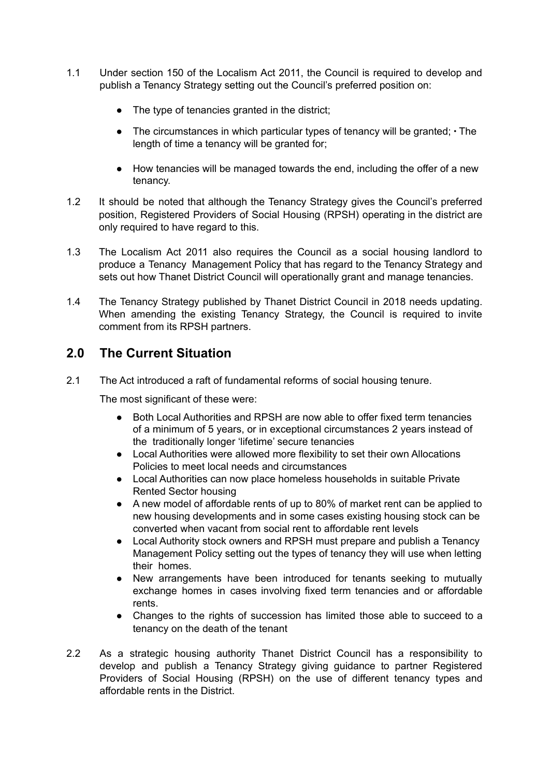- 1.1 Under section 150 of the Localism Act 2011, the Council is required to develop and publish a Tenancy Strategy setting out the Council's preferred position on:
	- The type of tenancies granted in the district;
	- The circumstances in which particular types of tenancy will be granted; ∙ The length of time a tenancy will be granted for;
	- How tenancies will be managed towards the end, including the offer of a new tenancy.
- 1.2 It should be noted that although the Tenancy Strategy gives the Council's preferred position, Registered Providers of Social Housing (RPSH) operating in the district are only required to have regard to this.
- 1.3 The Localism Act 2011 also requires the Council as a social housing landlord to produce a Tenancy Management Policy that has regard to the Tenancy Strategy and sets out how Thanet District Council will operationally grant and manage tenancies.
- 1.4 The Tenancy Strategy published by Thanet District Council in 2018 needs updating. When amending the existing Tenancy Strategy, the Council is required to invite comment from its RPSH partners.

## **2.0 The Current Situation**

2.1 The Act introduced a raft of fundamental reforms of social housing tenure.

The most significant of these were:

- Both Local Authorities and RPSH are now able to offer fixed term tenancies of a minimum of 5 years, or in exceptional circumstances 2 years instead of the traditionally longer 'lifetime' secure tenancies
- Local Authorities were allowed more flexibility to set their own Allocations Policies to meet local needs and circumstances
- Local Authorities can now place homeless households in suitable Private Rented Sector housing
- A new model of affordable rents of up to 80% of market rent can be applied to new housing developments and in some cases existing housing stock can be converted when vacant from social rent to affordable rent levels
- Local Authority stock owners and RPSH must prepare and publish a Tenancy Management Policy setting out the types of tenancy they will use when letting their homes.
- New arrangements have been introduced for tenants seeking to mutually exchange homes in cases involving fixed term tenancies and or affordable rents.
- Changes to the rights of succession has limited those able to succeed to a tenancy on the death of the tenant
- 2.2 As a strategic housing authority Thanet District Council has a responsibility to develop and publish a Tenancy Strategy giving guidance to partner Registered Providers of Social Housing (RPSH) on the use of different tenancy types and affordable rents in the District.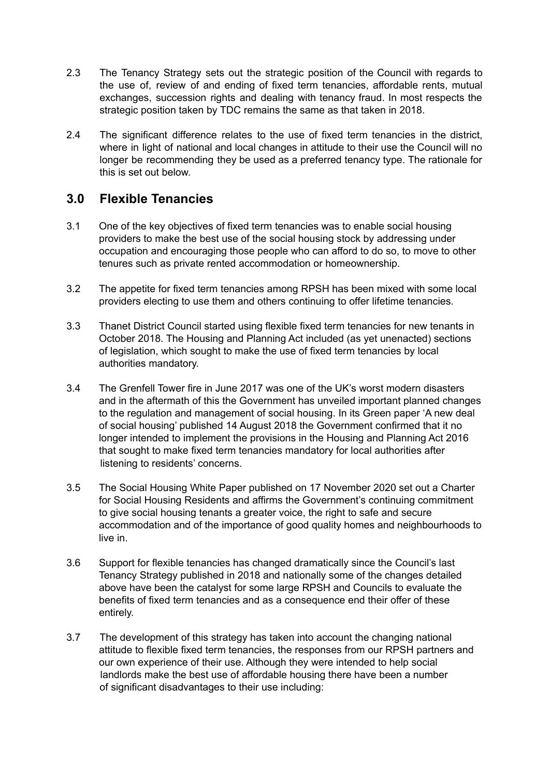- 2.3 The Tenancy Strategy sets out the strategic position of the Council with regards to the use of, review of and ending of fixed term tenancies, affordable rents, mutual exchanges, succession rights and dealing with tenancy fraud. In most respects the strategic position taken by TDC remains the same as that taken in 2018.
- 2.4 The significant difference relates to the use of fixed term tenancies in the district, where in light of national and local changes in attitude to their use the Council will no longer be recommending they be used as a preferred tenancy type. The rationale for this is set out below.

## **3.0 Flexible Tenancies**

- 3.1 One of the key objectives of fixed term tenancies was to enable social housing providers to make the best use of the social housing stock by addressing under occupation and encouraging those people who can afford to do so, to move to other tenures such as private rented accommodation or homeownership.
- 3.2 The appetite for fixed term tenancies among RPSH has been mixed with some local providers electing to use them and others continuing to offer lifetime tenancies.
- 3.3 Thanet District Council started using flexible fixed term tenancies for new tenants in October 2018. The Housing and Planning Act included (as yet unenacted) sections of legislation, which sought to make the use of fixed term tenancies by local authorities mandatory.
- 3.4 The Grenfell Tower fire in June 2017 was one of the UK's worst modern disasters and in the aftermath of this the Government has unveiled important planned changes to the regulation and management of social housing. In its Green paper 'A new deal of social housing' published 14 August 2018 the Government confirmed that it no longer intended to implement the provisions in the Housing and Planning Act 2016 that sought to make fixed term tenancies mandatory for local authorities after listening to residents' concerns.
- 3.5 The Social Housing White Paper published on 17 November 2020 set out a Charter for Social Housing Residents and affirms the Government's continuing commitment to give social housing tenants a greater voice, the right to safe and secure accommodation and of the importance of good quality homes and neighbourhoods to live in.
- 3.6 Support for flexible tenancies has changed dramatically since the Council's last Tenancy Strategy published in 2018 and nationally some of the changes detailed above have been the catalyst for some large RPSH and Councils to evaluate the benefits of fixed term tenancies and as a consequence end their offer of these entirely.
- 3.7 The development of this strategy has taken into account the changing national attitude to flexible fixed term tenancies, the responses from our RPSH partners and our own experience of their use. Although they were intended to help social landlords make the best use of affordable housing there have been a number of significant disadvantages to their use including: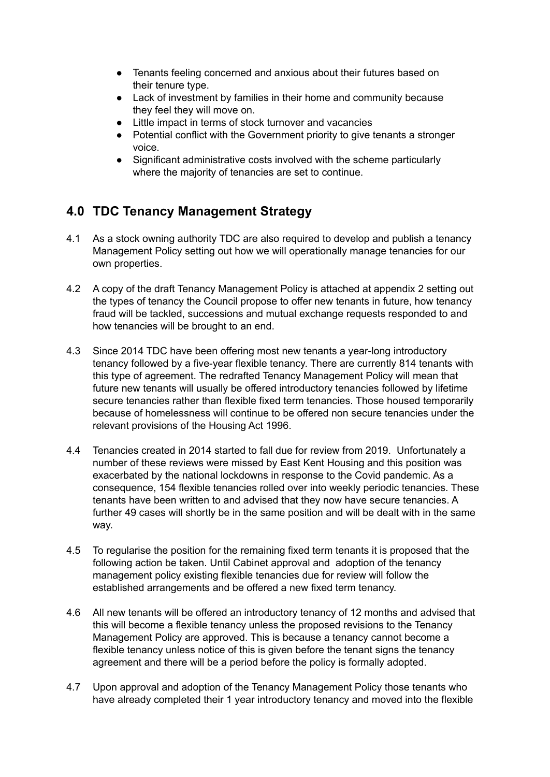- Tenants feeling concerned and anxious about their futures based on their tenure type.
- Lack of investment by families in their home and community because they feel they will move on.
- Little impact in terms of stock turnover and vacancies
- Potential conflict with the Government priority to give tenants a stronger voice.
- Significant administrative costs involved with the scheme particularly where the majority of tenancies are set to continue.

## **4.0 TDC Tenancy Management Strategy**

- 4.1 As a stock owning authority TDC are also required to develop and publish a tenancy Management Policy setting out how we will operationally manage tenancies for our own properties.
- 4.2 A copy of the draft Tenancy Management Policy is attached at appendix 2 setting out the types of tenancy the Council propose to offer new tenants in future, how tenancy fraud will be tackled, successions and mutual exchange requests responded to and how tenancies will be brought to an end.
- 4.3 Since 2014 TDC have been offering most new tenants a year-long introductory tenancy followed by a five-year flexible tenancy. There are currently 814 tenants with this type of agreement. The redrafted Tenancy Management Policy will mean that future new tenants will usually be offered introductory tenancies followed by lifetime secure tenancies rather than flexible fixed term tenancies. Those housed temporarily because of homelessness will continue to be offered non secure tenancies under the relevant provisions of the Housing Act 1996.
- 4.4 Tenancies created in 2014 started to fall due for review from 2019. Unfortunately a number of these reviews were missed by East Kent Housing and this position was exacerbated by the national lockdowns in response to the Covid pandemic. As a consequence, 154 flexible tenancies rolled over into weekly periodic tenancies. These tenants have been written to and advised that they now have secure tenancies. A further 49 cases will shortly be in the same position and will be dealt with in the same way.
- 4.5 To regularise the position for the remaining fixed term tenants it is proposed that the following action be taken. Until Cabinet approval and adoption of the tenancy management policy existing flexible tenancies due for review will follow the established arrangements and be offered a new fixed term tenancy.
- 4.6 All new tenants will be offered an introductory tenancy of 12 months and advised that this will become a flexible tenancy unless the proposed revisions to the Tenancy Management Policy are approved. This is because a tenancy cannot become a flexible tenancy unless notice of this is given before the tenant signs the tenancy agreement and there will be a period before the policy is formally adopted.
- 4.7 Upon approval and adoption of the Tenancy Management Policy those tenants who have already completed their 1 year introductory tenancy and moved into the flexible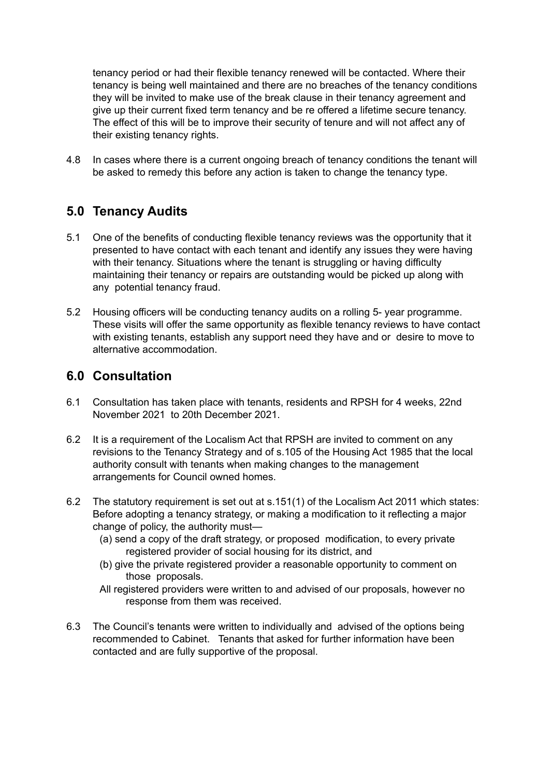tenancy period or had their flexible tenancy renewed will be contacted. Where their tenancy is being well maintained and there are no breaches of the tenancy conditions they will be invited to make use of the break clause in their tenancy agreement and give up their current fixed term tenancy and be re offered a lifetime secure tenancy. The effect of this will be to improve their security of tenure and will not affect any of their existing tenancy rights.

4.8 In cases where there is a current ongoing breach of tenancy conditions the tenant will be asked to remedy this before any action is taken to change the tenancy type.

### **5.0 Tenancy Audits**

- 5.1 One of the benefits of conducting flexible tenancy reviews was the opportunity that it presented to have contact with each tenant and identify any issues they were having with their tenancy. Situations where the tenant is struggling or having difficulty maintaining their tenancy or repairs are outstanding would be picked up along with any potential tenancy fraud.
- 5.2 Housing officers will be conducting tenancy audits on a rolling 5- year programme. These visits will offer the same opportunity as flexible tenancy reviews to have contact with existing tenants, establish any support need they have and or desire to move to alternative accommodation.

## **6.0 Consultation**

- 6.1 Consultation has taken place with tenants, residents and RPSH for 4 weeks, 22nd November 2021 to 20th December 2021.
- 6.2 It is a requirement of the Localism Act that RPSH are invited to comment on any revisions to the Tenancy Strategy and of s.105 of the Housing Act 1985 that the local authority consult with tenants when making changes to the management arrangements for Council owned homes.
- 6.2 The statutory requirement is set out at s.151(1) of the Localism Act 2011 which states: Before adopting a tenancy strategy, or making a modification to it reflecting a major change of policy, the authority must—
	- (a) send a copy of the draft strategy, or proposed modification, to every private registered provider of social housing for its district, and
	- (b) give the private registered provider a reasonable opportunity to comment on those proposals.
	- All registered providers were written to and advised of our proposals, however no response from them was received.
- 6.3 The Council's tenants were written to individually and advised of the options being recommended to Cabinet. Tenants that asked for further information have been contacted and are fully supportive of the proposal.